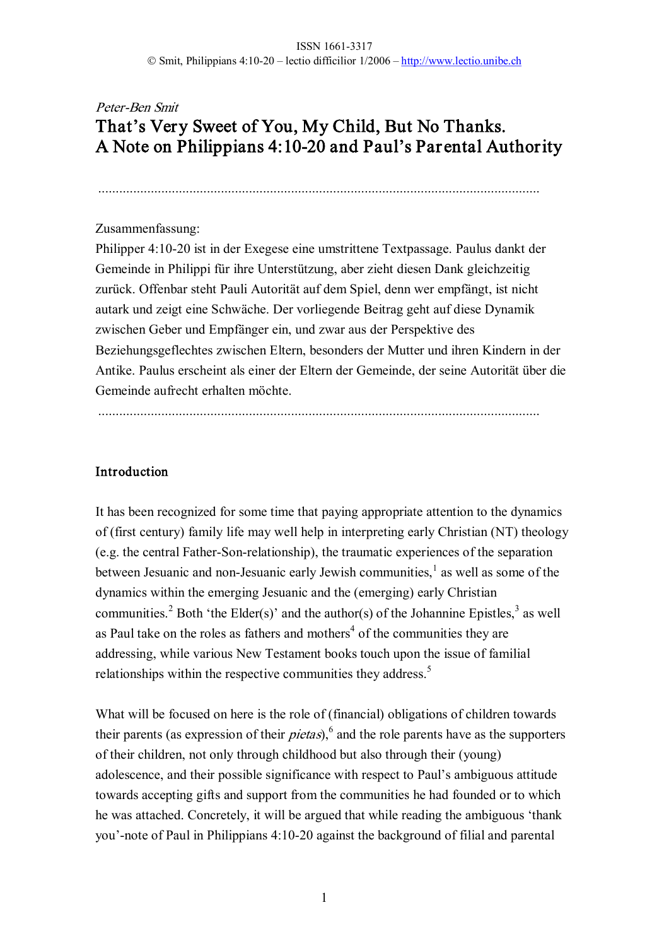# Peter-Ben Smit That's Very Sweet of You, My Child, But No Thanks. A Note on Philippians 4:1020 and Paul's Par ental Authority

..............................................................................................................................

#### Zusammenfassung:

Philipper 4:1020 ist in der Exegese eine umstrittene Textpassage. Paulus dankt der Gemeinde in Philippi für ihre Unterstützung, aber zieht diesen Dank gleichzeitig zurück. Offenbar steht Pauli Autorität auf dem Spiel, denn wer empfängt, ist nicht autark und zeigt eine Schwäche. Der vorliegende Beitrag geht auf diese Dynamik zwischen Geber und Empfänger ein, und zwar aus der Perspektive des Beziehungsgeflechtes zwischen Eltern, besonders der Mutter und ihren Kindern in der Antike. Paulus erscheint als einer der Eltern der Gemeinde, der seine Autorität über die Gemeinde aufrecht erhalten möchte.

..............................................................................................................................

#### Introduction

It has been recognized for some time that paying appropriate attention to the dynamics of (first century) family life may well help in interpreting early Christian (NT) theology  $(e.g. the central Father-Son-relationship)$ , the traumatic experiences of the separation between Jesuanic and non-Jesuanic early Jewish communities,<sup>1</sup> as well as some of the dynamics within the emerging Jesuanic and the (emerging) early Christian communities.<sup>2</sup> Both 'the Elder(s)' and the author(s) of the Johannine Epistles,<sup>3</sup> as well as Paul take on the roles as fathers and mothers<sup>4</sup> of the communities they are addressing, while various New Testament books touch upon the issue of familial relationships within the respective communities they address.<sup>5</sup>

What will be focused on here is the role of (financial) obligations of children towards their parents (as expression of their *pietas*),<sup>6</sup> and the role parents have as the supporters of their children, not only through childhood but also through their (young) adolescence, and their possible significance with respect to Paul's ambiguous attitude towards accepting gifts and support from the communities he had founded or to which he was attached. Concretely, it will be argued that while reading the ambiguous 'thank you'-note of Paul in Philippians 4:10-20 against the background of filial and parental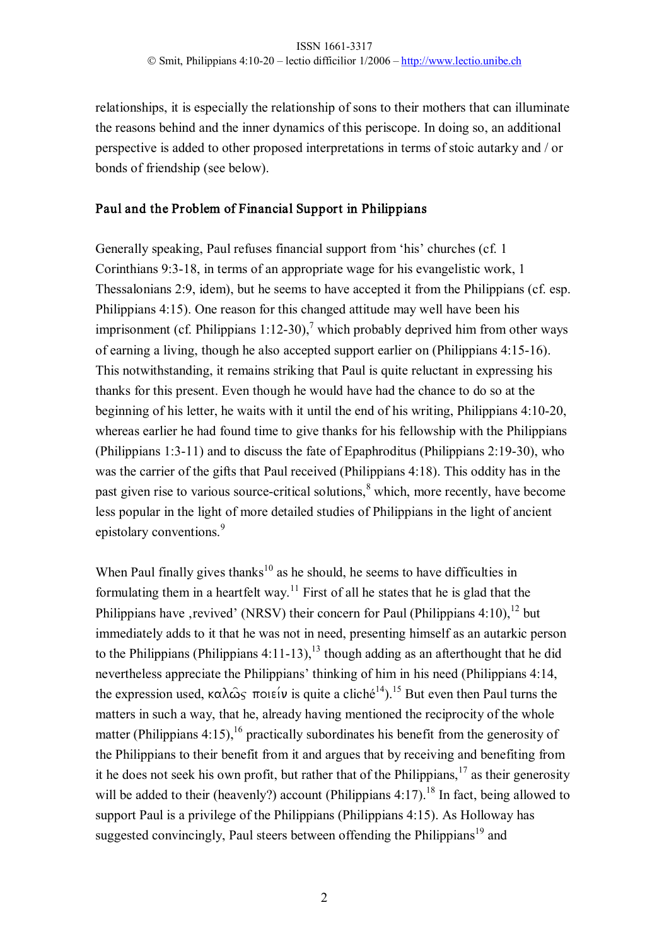relationships, it is especially the relationship of sons to their mothers that can illuminate the reasons behind and the inner dynamics of this periscope. In doing so, an additional perspective is added to other proposed interpretations in terms of stoic autarky and / or bonds of friendship (see below).

#### Paul and the Problem of Financial Support in Philippians

Generally speaking, Paul refuses financial support from 'his' churches (cf. 1 Corinthians 9:3-18, in terms of an appropriate wage for his evangelistic work, 1 Thessalonians 2:9, idem), but he seems to have accepted it from the Philippians (cf. esp. Philippians 4:15). One reason for this changed attitude may well have been his imprisonment (cf. Philippians 1:12-30),<sup>7</sup> which probably deprived him from other ways of earning a living, though he also accepted support earlier on (Philippians 4:1516). This notwithstanding, it remains striking that Paul is quite reluctant in expressing his thanks for this present. Even though he would have had the chance to do so at the beginning of his letter, he waits with it until the end of his writing, Philippians 4:10-20, whereas earlier he had found time to give thanks for his fellowship with the Philippians (Philippians 1:3-11) and to discuss the fate of Epaphroditus (Philippians 2:19-30), who was the carrier of the gifts that Paul received (Philippians 4:18). This oddity has in the past given rise to various source-critical solutions,<sup>8</sup> which, more recently, have become less popular in the light of more detailed studies of Philippians in the light of ancient epistolary conventions.<sup>9</sup>

When Paul finally gives thanks<sup>10</sup> as he should, he seems to have difficulties in formulating them in a heartfelt way.<sup>11</sup> First of all he states that he is glad that the Philippians have , revived' (NRSV) their concern for Paul (Philippians 4:10),<sup>12</sup> but immediately adds to it that he was not in need, presenting himself as an autarkic person to the Philippians (Philippians  $4:11-13$ ),<sup>13</sup> though adding as an afterthought that he did nevertheless appreciate the Philippians' thinking of him in his need (Philippians 4:14, the expression used,  $\kappa \alpha \lambda \hat{\omega}_S$   $\pi$ oieiv is quite a cliché<sup>14</sup>).<sup>15</sup> But even then Paul turns the matters in such a way, that he, already having mentioned the reciprocity of the whole matter (Philippians 4:15), <sup>16</sup> practically subordinates his benefit from the generosity of the Philippians to their benefit from it and argues that by receiving and benefiting from it he does not seek his own profit, but rather that of the Philippians,  $17$  as their generosity will be added to their (heavenly?) account (Philippians  $4:17$ ).<sup>18</sup> In fact, being allowed to support Paul is a privilege of the Philippians (Philippians 4:15). As Holloway has suggested convincingly, Paul steers between offending the Philippians<sup>19</sup> and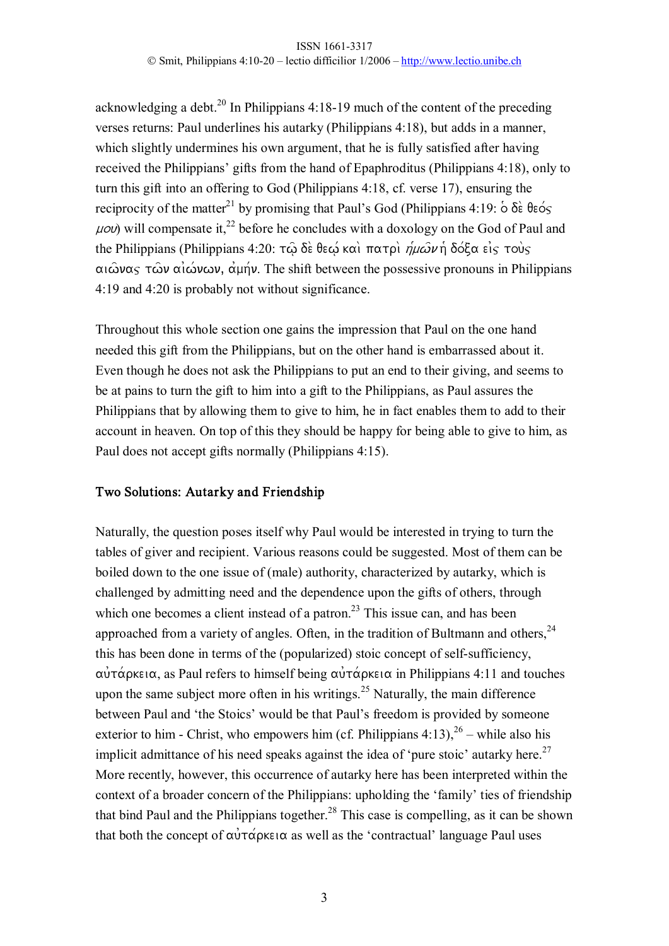acknowledging a debt.<sup>20</sup> In Philippians  $4:18-19$  much of the content of the preceding verses returns: Paul underlines his autarky (Philippians 4:18), but adds in a manner, which slightly undermines his own argument, that he is fully satisfied after having received the Philippians' gifts from the hand of Epaphroditus (Philippians 4:18), only to turn this gift into an offering to God (Philippians 4:18, cf. verse 17), ensuring the reciprocity of the matter<sup>21</sup> by promising that Paul's God (Philippians 4:19:  $\delta \delta \hat{\epsilon}$  θεός  $\mu$ ov) will compensate it,<sup>22</sup> before he concludes with a doxology on the God of Paul and the Philippians (Philippians 4:20: τω δε θεω και πατρι *ήμων* ή δόξα είς τους  $\alpha$  $\alpha$  $\alpha$   $\gamma$   $\alpha$  $\alpha$   $\alpha$  $\beta$  $\alpha$  $\gamma$ ,  $\alpha$  $\beta$  $\gamma$ . The shift between the possessive pronouns in Philippians 4:19 and 4:20 is probably not without significance.

Throughout this whole section one gains the impression that Paul on the one hand needed this gift from the Philippians, but on the other hand is embarrassed about it. Even though he does not ask the Philippians to put an end to their giving, and seems to be at pains to turn the gift to him into a gift to the Philippians, as Paul assures the Philippians that by allowing them to give to him, he in fact enables them to add to their account in heaven. On top of this they should be happy for being able to give to him, as Paul does not accept gifts normally (Philippians 4:15).

### Two Solutions: Autarky and Friendship

Naturally, the question poses itself why Paul would be interested in trying to turn the tables of giver and recipient. Various reasons could be suggested. Most of them can be boiled down to the one issue of (male) authority, characterized by autarky, which is challenged by admitting need and the dependence upon the gifts of others, through which one becomes a client instead of a patron.<sup>23</sup> This issue can, and has been approached from a variety of angles. Often, in the tradition of Bultmann and others,  $24$ this has been done in terms of the (popularized) stoic concept of self-sufficiency,  $\alpha \hat{\beta}$   $\alpha$  as Paul refers to himself being  $\alpha \hat{\beta}$   $\alpha$  in Philippians 4:11 and touches upon the same subject more often in his writings.<sup>25</sup> Naturally, the main difference between Paul and 'the Stoics' would be that Paul's freedom is provided by someone exterior to him - Christ, who empowers him (cf. Philippians  $4:13$ ),  $2^6$  – while also his implicit admittance of his need speaks against the idea of 'pure stoic' autarky here.<sup>27</sup> More recently, however, this occurrence of autarky here has been interpreted within the context of a broader concern of the Philippians: upholding the 'family' ties of friendship that bind Paul and the Philippians together.<sup>28</sup> This case is compelling, as it can be shown that both the concept of  $\alpha \dot{\nu} \tau \dot{\alpha}$  posence as well as the 'contractual' language Paul uses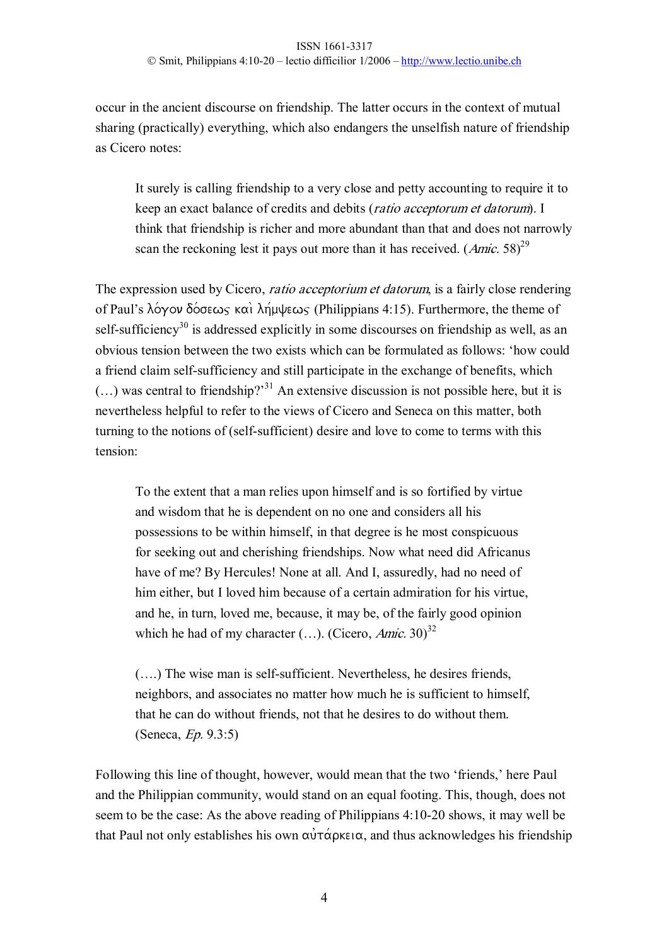occur in the ancient discourse on friendship. The latter occurs in the context of mutual sharing (practically) everything, which also endangers the unselfish nature of friendship as Cicero notes:

It surely is calling friendship to a very close and petty accounting to require it to keep an exact balance of credits and debits (ratio acceptorum et datorum). I think that friendship is richer and more abundant than that and does not narrowly scan the reckoning lest it pays out more than it has received.  $(Amic. 58)^{29}$ 

The expression used by Cicero, *ratio acceptorium et datorum*, is a fairly close rendering of Paul's  $\lambda$  o  $\gamma$  ov  $\delta$  o  $\sigma \in \mathcal{S}$  kai $\lambda$   $\eta$   $\mu \downarrow \epsilon \omega$  (Philippians 4:15). Furthermore, the theme of self-sufficiency<sup>30</sup> is addressed explicitly in some discourses on friendship as well, as an obvious tension between the two exists which can be formulated as follows: 'how could a friend claim self-sufficiency and still participate in the exchange of benefits, which  $(...)$  was central to friendship?<sup>31</sup> An extensive discussion is not possible here, but it is nevertheless helpful to refer to the views of Cicero and Seneca on this matter, both turning to the notions of (self-sufficient) desire and love to come to terms with this tension:

To the extent that a man relies upon himself and is so fortified by virtue and wisdom that he is dependent on no one and considers all his possessions to be within himself, in that degree is he most conspicuous for seeking out and cherishing friendships. Now what need did Africanus have of me? By Hercules! None at all. And I, assuredly, had no need of him either, but I loved him because of a certain admiration for his virtue, and he, in turn, loved me, because, it may be, of the fairly good opinion which he had of my character  $(...)$ . (Cicero, *Amic.* 30)<sup>32</sup>

 $(...)$  The wise man is self-sufficient. Nevertheless, he desires friends, neighbors, and associates no matter how much he is sufficient to himself, that he can do without friends, not that he desires to do without them. (Seneca, Ep. 9.3:5)

Following this line of thought, however, would mean that the two 'friends,' here Paul and the Philippian community, would stand on an equal footing. This, though, does not seem to be the case: As the above reading of Philippians 4:10-20 shows, it may well be that Paul not only establishes his own  $\alpha \nu \tau \alpha \rho \kappa \varepsilon \alpha$ , and thus acknowledges his friendship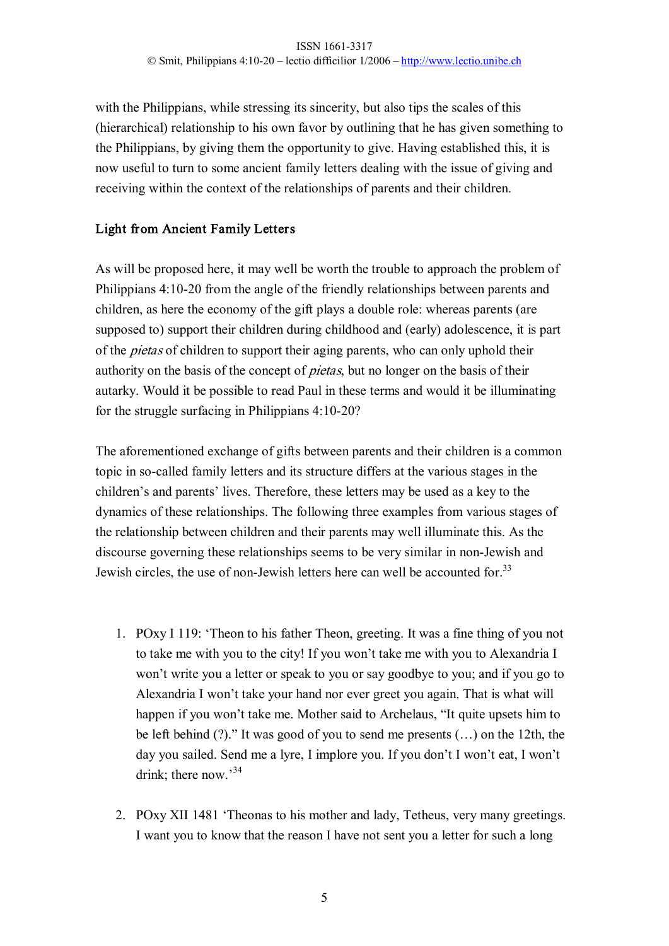with the Philippians, while stressing its sincerity, but also tips the scales of this (hierarchical) relationship to his own favor by outlining that he has given something to the Philippians, by giving them the opportunity to give. Having established this, it is now useful to turn to some ancient family letters dealing with the issue of giving and receiving within the context of the relationships of parents and their children.

## Light from Ancient Family Letters

As will be proposed here, it may well be worth the trouble to approach the problem of Philippians 4:1020 from the angle of the friendly relationships between parents and children, as here the economy of the gift plays a double role: whereas parents (are supposed to) support their children during childhood and (early) adolescence, it is part of the *pietas* of children to support their aging parents, who can only uphold their authority on the basis of the concept of pietas, but no longer on the basis of their autarky. Would it be possible to read Paul in these terms and would it be illuminating for the struggle surfacing in Philippians  $4:10-20$ ?

The aforementioned exchange of gifts between parents and their children is a common topic in so-called family letters and its structure differs at the various stages in the children's and parents' lives. Therefore, these letters may be used as a key to the dynamics of these relationships. The following three examples from various stages of the relationship between children and their parents may well illuminate this. As the discourse governing these relationships seems to be very similar in non-Jewish and Jewish circles, the use of non-Jewish letters here can well be accounted for.<sup>33</sup>

- 1. POxy I 119: 'Theon to his father Theon, greeting. It was a fine thing of you not to take me with you to the city! If you won't take me with you to Alexandria I won't write you a letter or speak to you or say goodbye to you; and if you go to Alexandria I won't take your hand nor ever greet you again. That is what will happen if you won't take me. Mother said to Archelaus, "It quite upsets him to be left behind (?)." It was good of you to send me presents (…) on the 12th, the day you sailed. Send me a lyre, I implore you. If you don't I won't eat, I won't drink; there now.<sup>34</sup>
- 2. POxy XII 1481 'Theonas to his mother and lady, Tetheus, very many greetings. I want you to know that the reason I have not sent you a letter for such a long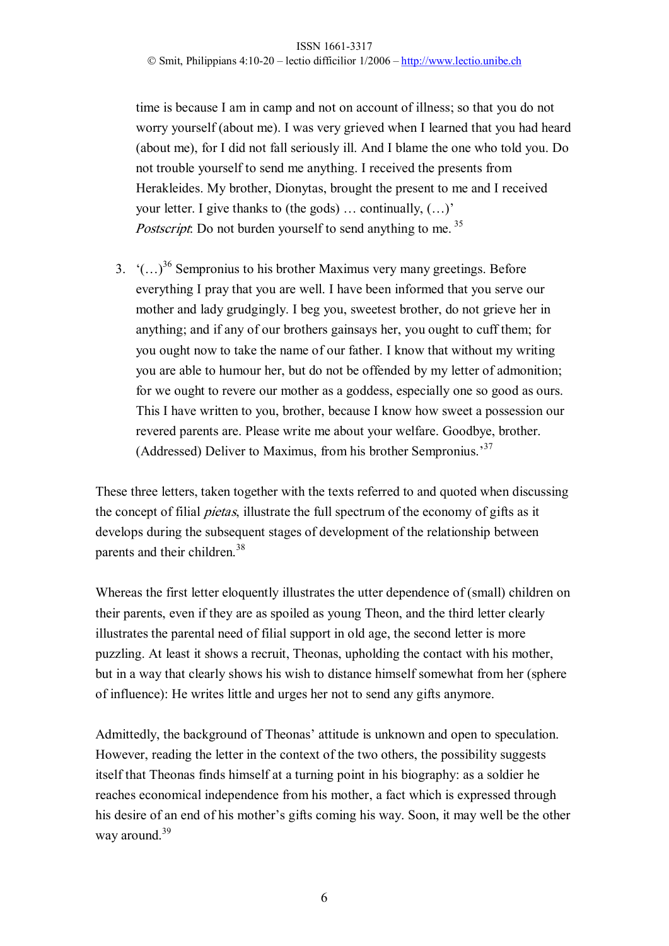time is because I am in camp and not on account of illness; so that you do not worry yourself (about me). I was very grieved when I learned that you had heard (about me), for I did not fall seriously ill. And I blame the one who told you. Do not trouble yourself to send me anything. I received the presents from Herakleides. My brother, Dionytas, brought the present to me and I received your letter. I give thanks to (the gods) … continually, (…)' Postscript. Do not burden yourself to send anything to me.<sup>35</sup>

3.  $((\ldots)^{36}$  Sempronius to his brother Maximus very many greetings. Before everything I pray that you are well. I have been informed that you serve our mother and lady grudgingly. I beg you, sweetest brother, do not grieve her in anything; and if any of our brothers gainsays her, you ought to cuff them; for you ought now to take the name of our father. I know that without my writing you are able to humour her, but do not be offended by my letter of admonition; for we ought to revere our mother as a goddess, especially one so good as ours. This I have written to you, brother, because I know how sweet a possession our revered parents are. Please write me about your welfare. Goodbye, brother. (Addressed) Deliver to Maximus, from his brother Sempronius.<sup>37</sup>

These three letters, taken together with the texts referred to and quoted when discussing the concept of filial pietas, illustrate the full spectrum of the economy of gifts as it develops during the subsequent stages of development of the relationship between parents and their children.<sup>38</sup>

Whereas the first letter eloquently illustrates the utter dependence of (small) children on their parents, even if they are as spoiled as young Theon, and the third letter clearly illustrates the parental need of filial support in old age, the second letter is more puzzling. At least it shows a recruit, Theonas, upholding the contact with his mother, but in a way that clearly shows his wish to distance himself somewhat from her (sphere of influence): He writes little and urges her not to send any gifts anymore.

Admittedly, the background of Theonas' attitude is unknown and open to speculation. However, reading the letter in the context of the two others, the possibility suggests itself that Theonas finds himself at a turning point in his biography: as a soldier he reaches economical independence from his mother, a fact which is expressed through his desire of an end of his mother's gifts coming his way. Soon, it may well be the other way around. $39$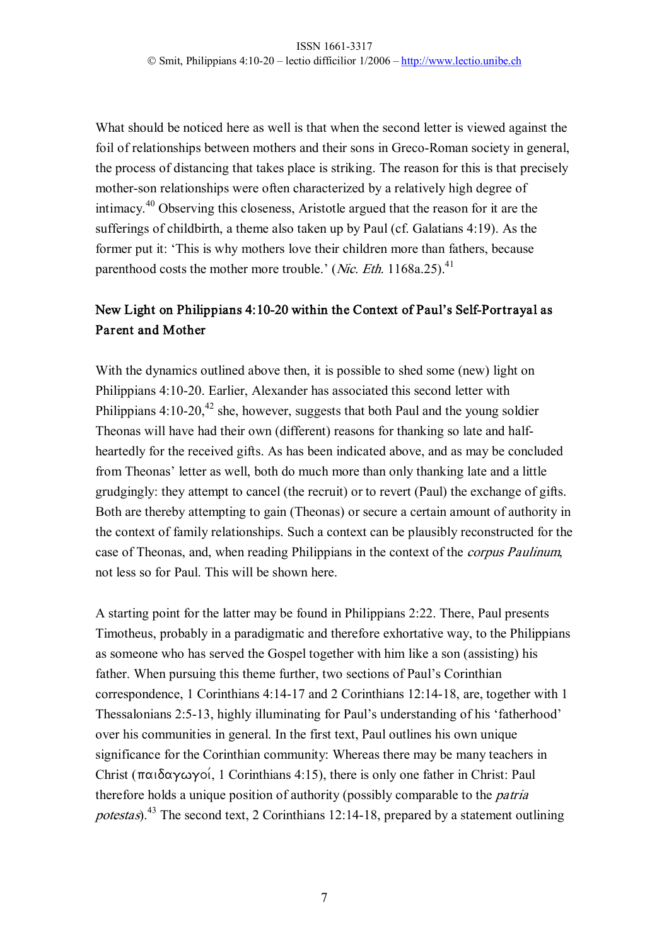What should be noticed here as well is that when the second letter is viewed against the foil of relationships between mothers and their sons in Greco-Roman society in general, the process of distancing that takes place is striking. The reason for this is that precisely mother-son relationships were often characterized by a relatively high degree of intimacy.<sup>40</sup> Observing this closeness, Aristotle argued that the reason for it are the sufferings of childbirth, a theme also taken up by Paul (cf. Galatians 4:19). As the former put it: 'This is why mothers love their children more than fathers, because parenthood costs the mother more trouble.' (*Nic. Eth.* 1168a.25).<sup>41</sup>

# New Light on Philippians 4:10-20 within the Context of Paul's Self-Portrayal as Parent and Mother

With the dynamics outlined above then, it is possible to shed some (new) light on Philippians 4:10-20. Earlier, Alexander has associated this second letter with Philippians  $4:10-20$ ,<sup>42</sup> she, however, suggests that both Paul and the young soldier Theonas will have had their own (different) reasons for thanking so late and half heartedly for the received gifts. As has been indicated above, and as may be concluded from Theonas' letter as well, both do much more than only thanking late and a little grudgingly: they attempt to cancel (the recruit) or to revert (Paul) the exchange of gifts. Both are thereby attempting to gain (Theonas) or secure a certain amount of authority in the context of family relationships. Such a context can be plausibly reconstructed for the case of Theonas, and, when reading Philippians in the context of the corpus Paulinum, not less so for Paul. This will be shown here.

A starting point for the latter may be found in Philippians 2:22. There, Paul presents Timotheus, probably in a paradigmatic and therefore exhortative way, to the Philippians as someone who has served the Gospel together with him like a son (assisting) his father. When pursuing this theme further, two sections of Paul's Corinthian correspondence, 1 Corinthians 4:1417 and 2 Corinthians 12:1418, are, together with 1 Thessalonians 2:5-13, highly illuminating for Paul's understanding of his 'fatherhood' over his communities in general. In the first text, Paul outlines his own unique significance for the Corinthian community: Whereas there may be many teachers in Christ ( $\pi\alpha_1\delta\alpha\gamma\omega\gamma$ oi, 1 Corinthians 4:15), there is only one father in Christ: Paul therefore holds a unique position of authority (possibly comparable to the *patria* potestas).<sup>43</sup> The second text, 2 Corinthians 12:14-18, prepared by a statement outlining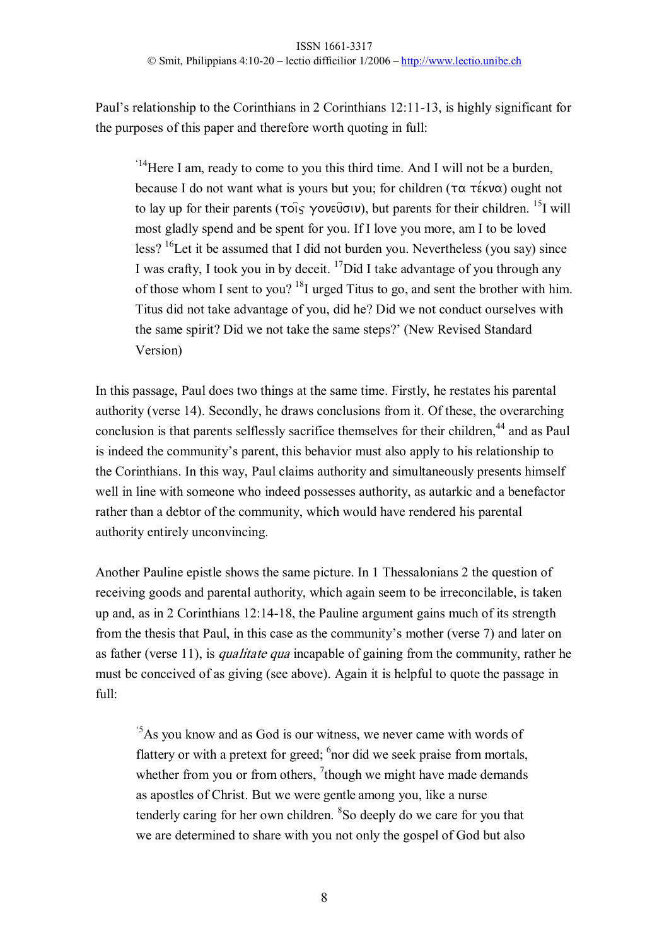Paul's relationship to the Corinthians in 2 Corinthians 12:11-13, is highly significant for the purposes of this paper and therefore worth quoting in full:

 $14$ Here I am, ready to come to you this third time. And I will not be a burden, because I do not want what is yours but you; for children ( $\tau \alpha \tau$ έκνα) ought not to lay up for their parents ( $\tau$ ois  $\gamma$ ov $\epsilon\tilde{\nu}$ ou), but parents for their children. <sup>15</sup>I will most gladly spend and be spent for you. If I love you more, am I to be loved less?  $16$ Let it be assumed that I did not burden you. Nevertheless (you say) since I was crafty, I took you in by deceit.  $\binom{17}{17}$  and I take advantage of you through any of those whom I sent to you?  $^{18}$ I urged Titus to go, and sent the brother with him. Titus did not take advantage of you, did he? Did we not conduct ourselves with the same spirit? Did we not take the same steps?' (New Revised Standard Version)

In this passage, Paul does two things at the same time. Firstly, he restates his parental authority (verse 14). Secondly, he draws conclusions from it. Of these, the overarching conclusion is that parents selflessly sacrifice themselves for their children,<sup>44</sup> and as Paul is indeed the community's parent, this behavior must also apply to his relationship to the Corinthians. In this way, Paul claims authority and simultaneously presents himself well in line with someone who indeed possesses authority, as autarkic and a benefactor rather than a debtor of the community, which would have rendered his parental authority entirely unconvincing.

Another Pauline epistle shows the same picture. In 1 Thessalonians 2 the question of receiving goods and parental authority, which again seem to be irreconcilable, is taken up and, as in 2 Corinthians 12:1418, the Pauline argument gains much of its strength from the thesis that Paul, in this case as the community's mother (verse 7) and later on as father (verse 11), is *qualitate qua* incapable of gaining from the community, rather he must be conceived of as giving (see above). Again it is helpful to quote the passage in full:

'5As you know and as God is our witness, we never came with words of flattery or with a pretext for greed;  $6$  nor did we seek praise from mortals, whether from you or from others,  $\frac{7}{1}$ though we might have made demands as apostles of Christ. But we were gentle among you, like a nurse tenderly caring for her own children. <sup>8</sup>So deeply do we care for you that we are determined to share with you not only the gospel of God but also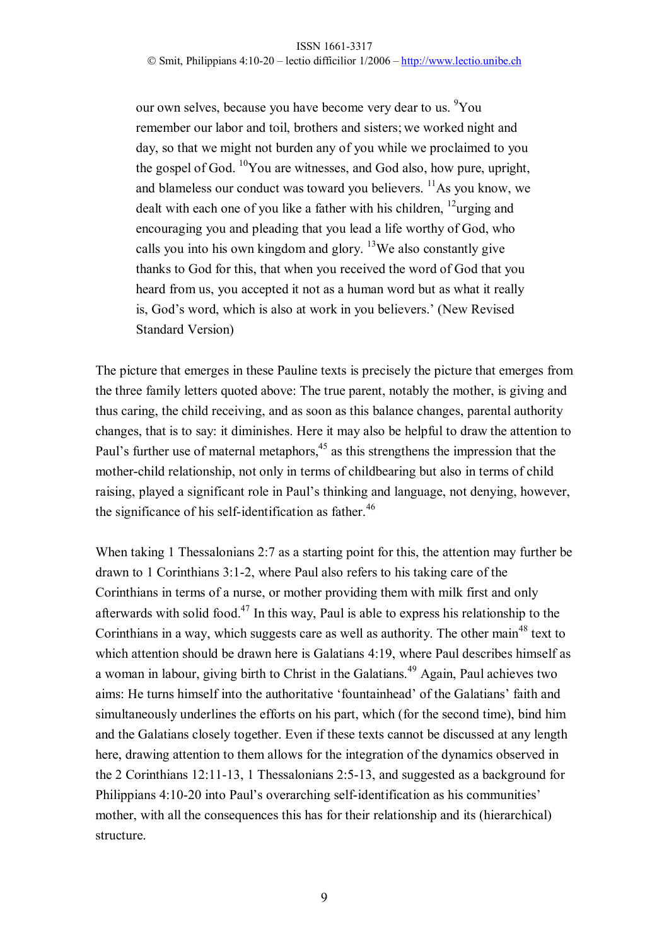our own selves, because you have become very dear to us. <sup>9</sup>You remember our labor and toil, brothers and sisters; we worked night and day, so that we might not burden any of you while we proclaimed to you the gospel of God. <sup>10</sup>You are witnesses, and God also, how pure, upright, and blameless our conduct was toward you believers.  $\frac{11}{1}$ As you know, we dealt with each one of you like a father with his children,  $^{12}$ urging and encouraging you and pleading that you lead a life worthy of God, who calls you into his own kingdom and glory. <sup>13</sup>We also constantly give thanks to God for this, that when you received the word of God that you heard from us, you accepted it not as a human word but as what it really is, God's word, which is also at work in you believers.' (New Revised Standard Version)

The picture that emerges in these Pauline texts is precisely the picture that emerges from the three family letters quoted above: The true parent, notably the mother, is giving and thus caring, the child receiving, and as soon as this balance changes, parental authority changes, that is to say: it diminishes. Here it may also be helpful to draw the attention to Paul's further use of maternal metaphors,  $45$  as this strengthens the impression that the mother-child relationship, not only in terms of childbearing but also in terms of child raising, played a significant role in Paul's thinking and language, not denying, however, the significance of his self-identification as father.<sup>46</sup>

When taking 1 Thessalonians 2:7 as a starting point for this, the attention may further be drawn to 1 Corinthians 3:12, where Paul also refers to his taking care of the Corinthians in terms of a nurse, or mother providing them with milk first and only afterwards with solid food.<sup>47</sup> In this way, Paul is able to express his relationship to the Corinthians in a way, which suggests care as well as authority. The other main<sup>48</sup> text to which attention should be drawn here is Galatians 4:19, where Paul describes himself as a woman in labour, giving birth to Christ in the Galatians.<sup>49</sup> Again, Paul achieves two aims: He turns himself into the authoritative 'fountainhead' of the Galatians' faith and simultaneously underlines the efforts on his part, which (for the second time), bind him and the Galatians closely together. Even if these texts cannot be discussed at any length here, drawing attention to them allows for the integration of the dynamics observed in the 2 Corinthians  $12:11-13$ , 1 Thessalonians  $2:5-13$ , and suggested as a background for Philippians 4:10-20 into Paul's overarching self-identification as his communities' mother, with all the consequences this has for their relationship and its (hierarchical) structure.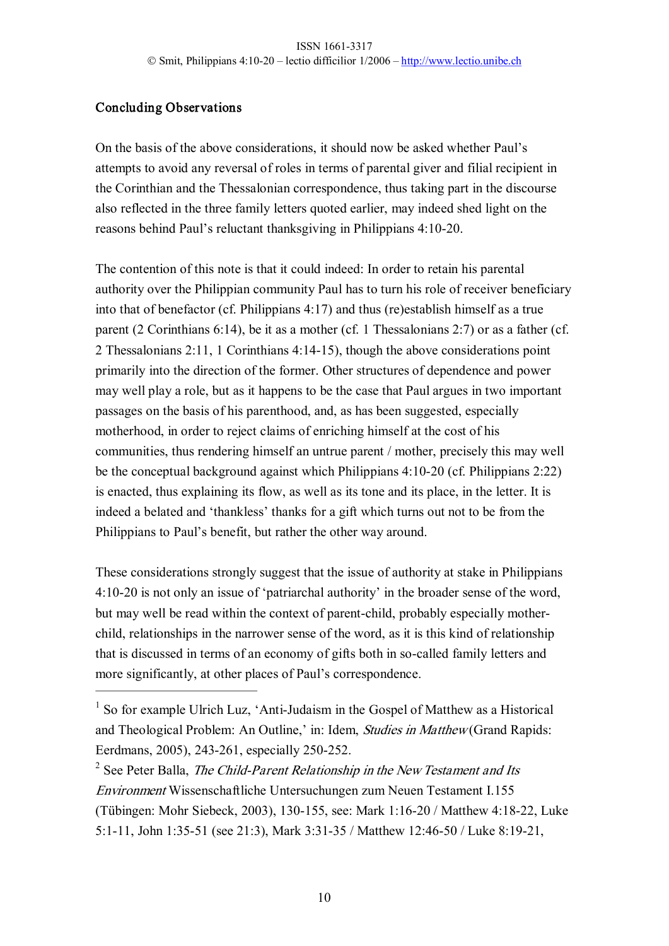# Concluding Observations

On the basis of the above considerations, it should now be asked whether Paul's attempts to avoid any reversal of roles in terms of parental giver and filial recipient in the Corinthian and the Thessalonian correspondence, thus taking part in the discourse also reflected in the three family letters quoted earlier, may indeed shed light on the reasons behind Paul's reluctant thanksgiving in Philippians 4:10-20.

The contention of this note is that it could indeed: In order to retain his parental authority over the Philippian community Paul has to turn his role of receiver beneficiary into that of benefactor (cf. Philippians 4:17) and thus (re)establish himself as a true parent (2 Corinthians 6:14), be it as a mother (cf. 1 Thessalonians 2:7) or as a father (cf. 2 Thessalonians 2:11, 1 Corinthians 4:1415), though the above considerations point primarily into the direction of the former. Other structures of dependence and power may well play a role, but as it happens to be the case that Paul argues in two important passages on the basis of his parenthood, and, as has been suggested, especially motherhood, in order to reject claims of enriching himself at the cost of his communities, thus rendering himself an untrue parent / mother, precisely this may well be the conceptual background against which Philippians 4:10-20 (cf. Philippians 2:22) is enacted, thus explaining its flow, as well as its tone and its place, in the letter. It is indeed a belated and 'thankless' thanks for a gift which turns out not to be from the Philippians to Paul's benefit, but rather the other way around.

These considerations strongly suggest that the issue of authority at stake in Philippians 4:1020 is not only an issue of 'patriarchal authority' in the broader sense of the word, but may well be read within the context of parent-child, probably especially motherchild, relationships in the narrower sense of the word, as it is this kind of relationship that is discussed in terms of an economy of gifts both in so-called family letters and more significantly, at other places of Paul's correspondence.

 $1$  So for example Ulrich Luz, 'Anti-Judaism in the Gospel of Matthew as a Historical and Theological Problem: An Outline,' in: Idem, Studies in Matthew (Grand Rapids: Eerdmans, 2005), 243-261, especially 250-252.

<sup>&</sup>lt;sup>2</sup> See Peter Balla, *The Child-Parent Relationship in the New Testament and Its* Environment Wissenschaftliche Untersuchungen zum Neuen Testament I.155 (Tübingen: Mohr Siebeck, 2003), 130-155, see: Mark 1:16-20 / Matthew 4:18-22, Luke 5:1-11, John 1:35-51 (see 21:3), Mark 3:31-35 / Matthew 12:46-50 / Luke 8:19-21,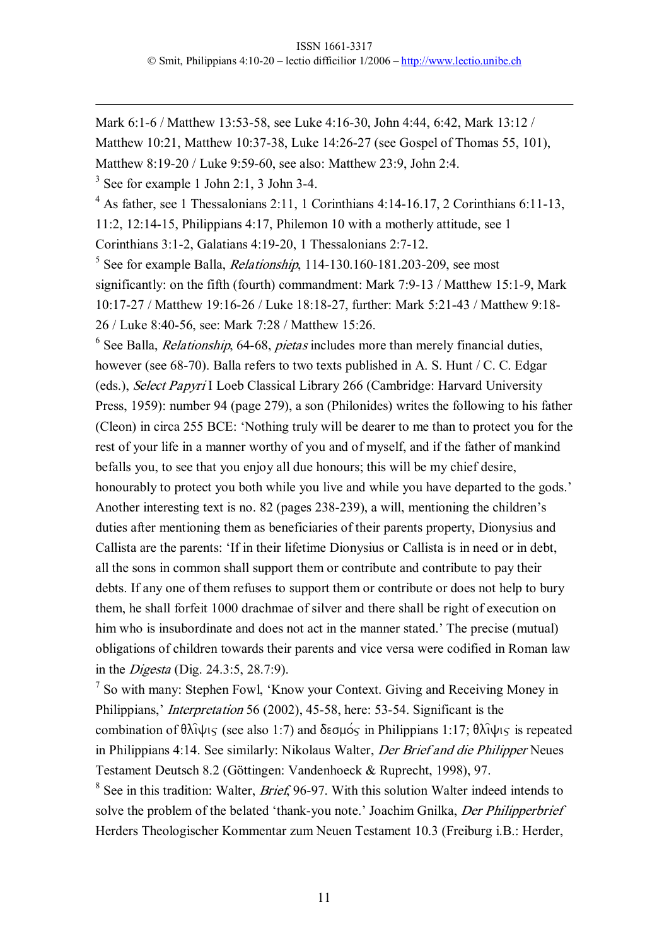Mark 6:1-6 / Matthew 13:53-58, see Luke 4:16-30, John 4:44, 6:42, Mark 13:12 /

Matthew 10:21, Matthew 10:37-38, Luke 14:26-27 (see Gospel of Thomas 55, 101),

Matthew 8:19-20 / Luke 9:59-60, see also: Matthew 23:9, John 2:4.

 $3$  See for example 1 John 2:1, 3 John 3-4.

 $4$  As father, see 1 Thessalonians 2:11, 1 Corinthians 4:14-16.17, 2 Corinthians 6:11-13,

11:2, 12:1415, Philippians 4:17, Philemon 10 with a motherly attitude, see 1

Corinthians  $3:1-2$ , Galatians  $4:19-20$ , 1 Thessalonians  $2:7-12$ .

 $5$  See for example Balla, *Relationship*, 114-130.160-181.203-209, see most significantly: on the fifth (fourth) commandment: Mark 7:9-13 / Matthew 15:1-9, Mark 10:1727 / Matthew 19:1626 / Luke 18:1827, further: Mark 5:2143 / Matthew 9:18 26 / Luke 8:4056, see: Mark 7:28 / Matthew 15:26.

 $6$  See Balla, *Relationship*, 64-68, *pietas* includes more than merely financial duties, however (see 68-70). Balla refers to two texts published in A. S. Hunt  $\overline{/C}$ . C. Edgar (eds.), Select Papyri I Loeb Classical Library 266 (Cambridge: Harvard University Press, 1959): number 94 (page 279), a son (Philonides) writes the following to his father (Cleon) in circa 255 BCE: 'Nothing truly will be dearer to me than to protect you for the rest of your life in a manner worthy of you and of myself, and if the father of mankind befalls you, to see that you enjoy all due honours; this will be my chief desire, honourably to protect you both while you live and while you have departed to the gods.' Another interesting text is no. 82 (pages 238-239), a will, mentioning the children's duties after mentioning them as beneficiaries of their parents property, Dionysius and Callista are the parents: 'If in their lifetime Dionysius or Callista is in need or in debt, all the sons in common shall support them or contribute and contribute to pay their debts. If any one of them refuses to support them or contribute or does not help to bury them, he shall forfeit 1000 drachmae of silver and there shall be right of execution on him who is insubordinate and does not act in the manner stated.' The precise (mutual) obligations of children towards their parents and vice versa were codified in Roman law in the Digesta (Dig. 24.3:5, 28.7:9).

<sup>7</sup> So with many: Stephen Fowl, 'Know your Context. Giving and Receiving Money in Philippians,' *Interpretation* 56 (2002), 45-58, here: 53-54. Significant is the combination of  $\theta\lambda\hat{i}\psi$  (see also 1:7) and  $\delta \epsilon \sigma \mu \acute{\circ} \varsigma$  in Philippians 1:17;  $\theta\lambda\hat{i}\psi$  is repeated in Philippians 4:14. See similarly: Nikolaus Walter, Der Brief and die Philipper Neues Testament Deutsch 8.2 (Göttingen: Vandenhoeck & Ruprecht, 1998), 97.

 $8$  See in this tradition: Walter, *Brief*, 96-97. With this solution Walter indeed intends to solve the problem of the belated 'thank-you note.' Joachim Gnilka, Der Philipperbrief Herders Theologischer Kommentar zum Neuen Testament 10.3 (Freiburg i.B.: Herder,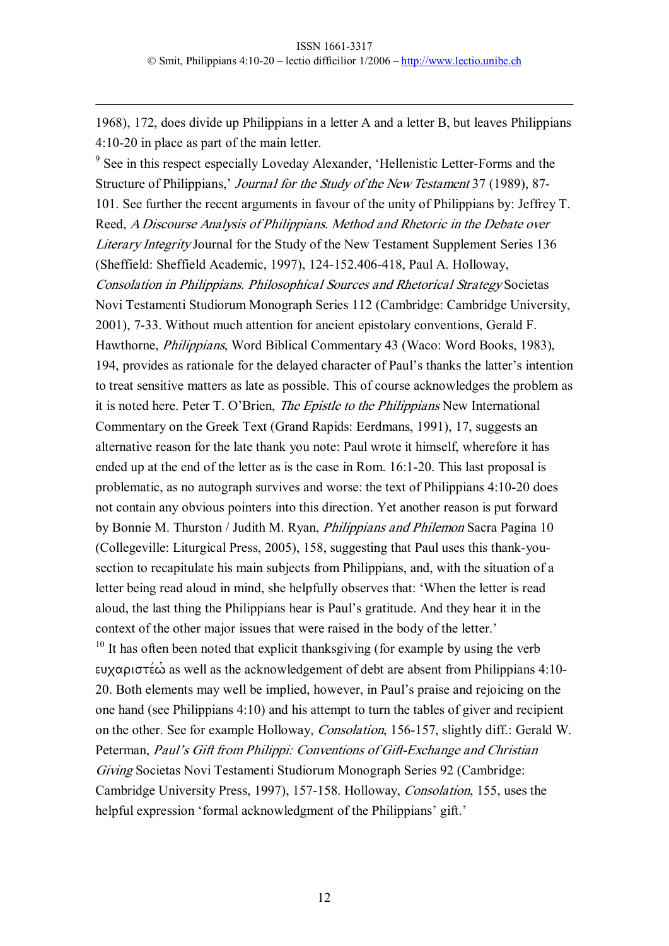1968), 172, does divide up Philippians in a letter A and a letter B, but leaves Philippians 4:10-20 in place as part of the main letter.

<sup>9</sup> See in this respect especially Loveday Alexander, 'Hellenistic Letter-Forms and the Structure of Philippians,' Journal for the Study of the New Testament 37 (1989), 87-101. See further the recent arguments in favour of the unity of Philippians by: Jeffrey T. Reed, <sup>A</sup> Discourse Analysis of Philippians. Method and Rhetoric in the Debate over Literary Integrity Journal for the Study of the New Testament Supplement Series 136 (Sheffield: Sheffield Academic, 1997), 124-152.406-418, Paul A. Holloway, Consolation in Philippians. Philosophical Sources and Rhetorical Strategy Societas Novi Testamenti Studiorum Monograph Series 112 (Cambridge: Cambridge University, 2001), 733. Without much attention for ancient epistolary conventions, Gerald F. Hawthorne, Philippians, Word Biblical Commentary 43 (Waco: Word Books, 1983), 194, provides as rationale for the delayed character of Paul's thanks the latter's intention to treat sensitive matters as late as possible. This of course acknowledges the problem as it is noted here. Peter T. O'Brien, The Epistle to the Philippians New International Commentary on the Greek Text (Grand Rapids: Eerdmans, 1991), 17, suggests an alternative reason for the late thank you note: Paul wrote it himself, wherefore it has ended up at the end of the letter as is the case in Rom. 16:1-20. This last proposal is problematic, as no autograph survives and worse: the text of Philippians 4:1020 does not contain any obvious pointers into this direction. Yet another reason is put forward by Bonnie M. Thurston / Judith M. Ryan, Philippians and Philemon Sacra Pagina 10 (Collegeville: Liturgical Press, 2005), 158, suggesting that Paul uses this thank-yousection to recapitulate his main subjects from Philippians, and, with the situation of a letter being read aloud in mind, she helpfully observes that: 'When the letter is read aloud, the last thing the Philippians hear is Paul's gratitude. And they hear it in the context of the other major issues that were raised in the body of the letter.'

 $10$  It has often been noted that explicit thanksgiving (for example by using the verb ευχαριστέ $\dot{\omega}$  as well as the acknowledgement of debt are absent from Philippians 4:10-20. Both elements may well be implied, however, in Paul's praise and rejoicing on the one hand (see Philippians 4:10) and his attempt to turn the tables of giver and recipient on the other. See for example Holloway, *Consolation*, 156-157, slightly diff.: Gerald W. Peterman, Paul's Gift from Philippi: Conventions of Gift-Exchange and Christian Giving Societas Novi Testamenti Studiorum Monograph Series 92 (Cambridge: Cambridge University Press, 1997), 157-158. Holloway, Consolation, 155, uses the helpful expression 'formal acknowledgment of the Philippians' gift.'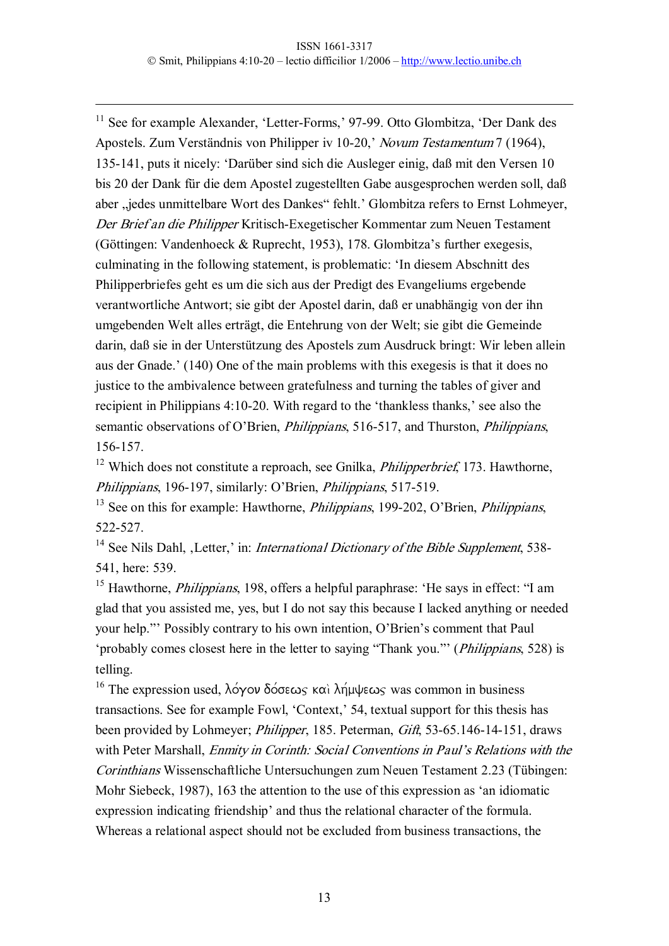$11$  See for example Alexander, 'Letter-Forms,' 97-99. Otto Glombitza, 'Der Dank des Apostels. Zum Verständnis von Philipper iv 1020,' Novum Testamentum 7 (1964), 135141, puts it nicely: 'Darüber sind sich die Ausleger einig, daß mit den Versen 10 bis 20 der Dank für die dem Apostel zugestellten Gabe ausgesprochen werden soll, daß aber "jedes unmittelbare Wort des Dankes" fehlt.' Glombitza refers to Ernst Lohmeyer, Der Brief an die Philipper Kritisch-Exegetischer Kommentar zum Neuen Testament (Göttingen: Vandenhoeck & Ruprecht, 1953), 178. Glombitza's further exegesis, culminating in the following statement, is problematic: 'In diesem Abschnitt des Philipperbriefes geht es um die sich aus der Predigt des Evangeliums ergebende verantwortliche Antwort; sie gibt der Apostel darin, daß er unabhängig von der ihn umgebenden Welt alles erträgt, die Entehrung von der Welt; sie gibt die Gemeinde darin, daß sie in der Unterstützung des Apostels zum Ausdruck bringt: Wir leben allein aus der Gnade.' (140) One of the main problems with this exegesis is that it does no justice to the ambivalence between gratefulness and turning the tables of giver and recipient in Philippians 4:10-20. With regard to the 'thankless thanks,' see also the semantic observations of O'Brien, *Philippians*, 516-517, and Thurston, *Philippians*, 156157.

 $12$  Which does not constitute a reproach, see Gnilka, *Philipperbrief*, 173. Hawthorne, Philippians, 196-197, similarly: O'Brien, *Philippians*, 517-519.

 $13$  See on this for example: Hawthorne, *Philippians*, 199-202, O'Brien, *Philippians*, 522527.

<sup>14</sup> See Nils Dahl, ,Letter,' in: *International Dictionary of the Bible Supplement*, 538-541, here: 539.

<sup>15</sup> Hawthorne, *Philippians*, 198, offers a helpful paraphrase: 'He says in effect: "I am glad that you assisted me, yes, but I do not say this because I lacked anything or needed your help."' Possibly contrary to his own intention, O'Brien's comment that Paul 'probably comes closest here in the letter to saying "Thank you."' (Philippians, 528) is telling.

<sup>16</sup> The expression used, λόγον δόσεως και λήμψεως was common in business transactions. See for example Fowl, 'Context,' 54, textual support for this thesis has been provided by Lohmeyer; *Philipper*, 185. Peterman, *Gift*, 53-65.146-14-151, draws with Peter Marshall, *Enmity in Corinth: Social Conventions in Paul's Relations with the* Corinthians Wissenschaftliche Untersuchungen zum Neuen Testament 2.23 (Tübingen: Mohr Siebeck, 1987), 163 the attention to the use of this expression as 'an idiomatic expression indicating friendship' and thus the relational character of the formula. Whereas a relational aspect should not be excluded from business transactions, the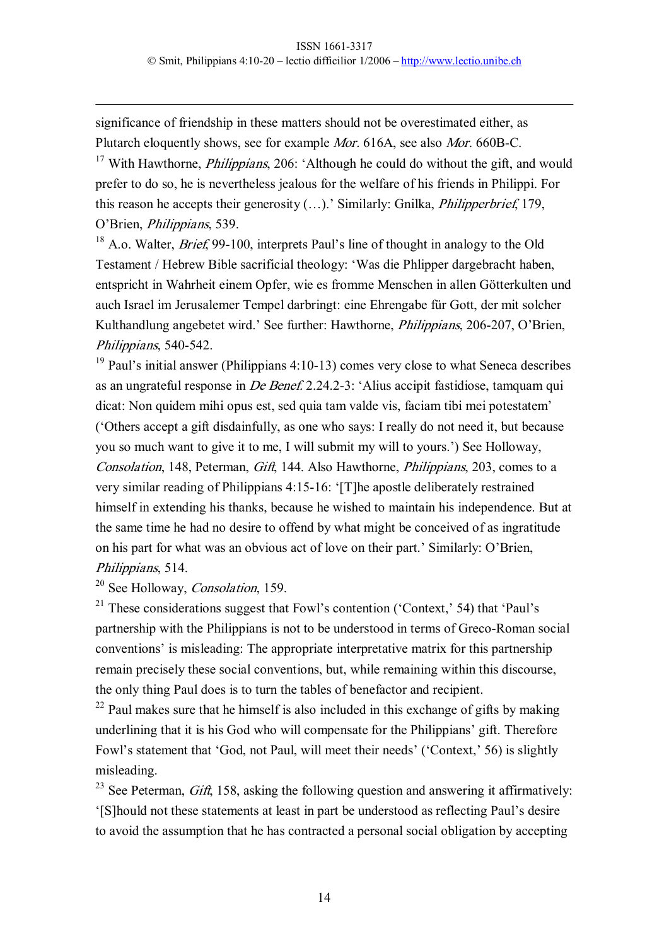significance of friendship in these matters should not be overestimated either, as Plutarch eloquently shows, see for example *Mor.* 616A, see also *Mor.* 660B-C.

<sup>17</sup> With Hawthorne, *Philippians*, 206: 'Although he could do without the gift, and would prefer to do so, he is nevertheless jealous for the welfare of his friends in Philippi. For this reason he accepts their generosity (…).' Similarly: Gnilka, Philipperbrief, 179, O'Brien, Philippians, 539.

 $18$  A.o. Walter, *Brief*, 99-100, interprets Paul's line of thought in analogy to the Old Testament / Hebrew Bible sacrificial theology: 'Was die Phlipper dargebracht haben, entspricht in Wahrheit einem Opfer, wie es fromme Menschen in allen Götterkulten und auch Israel im Jerusalemer Tempel darbringt: eine Ehrengabe für Gott, der mit solcher Kulthandlung angebetet wird.' See further: Hawthorne, *Philippians*, 206-207, O'Brien, Philippians, 540-542.

 $19$  Paul's initial answer (Philippians 4:10-13) comes very close to what Seneca describes as an ungrateful response in De Benef. 2.24.23: 'Alius accipit fastidiose, tamquam qui dicat: Non quidem mihi opus est, sed quia tam valde vis, faciam tibi mei potestatem' ('Others accept a gift disdainfully, as one who says: I really do not need it, but because you so much want to give it to me, I will submit my will to yours.') See Holloway, Consolation, 148, Peterman, Gift, 144. Also Hawthorne, Philippians, 203, comes to a very similar reading of Philippians 4:15-16: '[T]he apostle deliberately restrained himself in extending his thanks, because he wished to maintain his independence. But at the same time he had no desire to offend by what might be conceived of as ingratitude on his part for what was an obvious act of love on their part.' Similarly: O'Brien, Philippians, 514.

<sup>20</sup> See Holloway, *Consolation*, 159.

<sup>21</sup> These considerations suggest that Fowl's contention ('Context,' 54) that 'Paul's partnership with the Philippians is not to be understood in terms of Greco-Roman social conventions' is misleading: The appropriate interpretative matrix for this partnership remain precisely these social conventions, but, while remaining within this discourse, the only thing Paul does is to turn the tables of benefactor and recipient.

 $22$  Paul makes sure that he himself is also included in this exchange of gifts by making underlining that it is his God who will compensate for the Philippians' gift. Therefore Fowl's statement that 'God, not Paul, will meet their needs' ('Context,' 56) is slightly misleading.

<sup>23</sup> See Peterman, *Gift*, 158, asking the following question and answering it affirmatively: '[S]hould not these statements at least in part be understood as reflecting Paul's desire to avoid the assumption that he has contracted a personal social obligation by accepting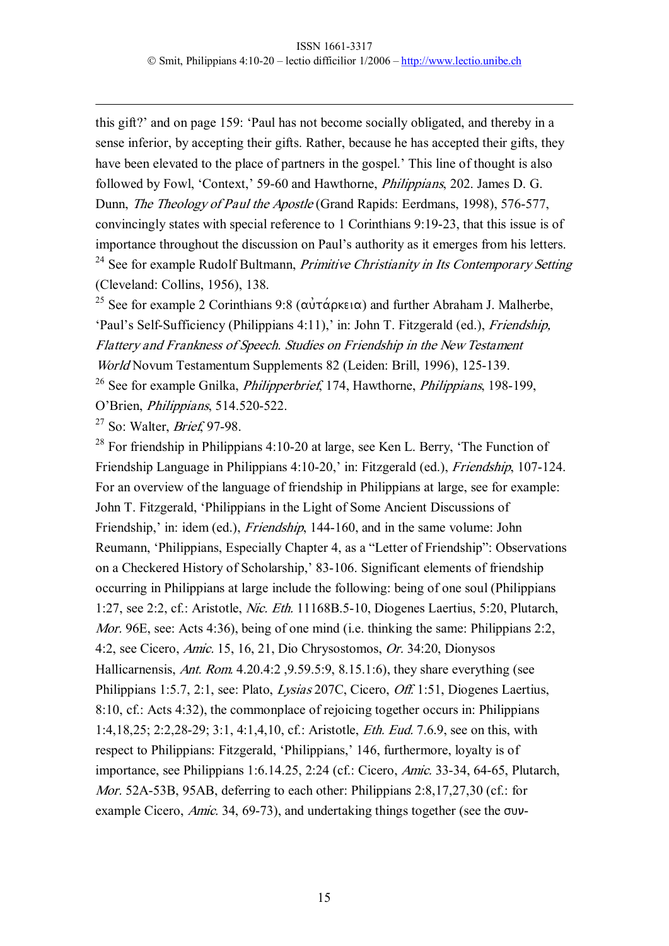this gift?' and on page 159: 'Paul has not become socially obligated, and thereby in a sense inferior, by accepting their gifts. Rather, because he has accepted their gifts, they have been elevated to the place of partners in the gospel.' This line of thought is also followed by Fowl, 'Context,' 59-60 and Hawthorne, *Philippians*, 202. James D. G. Dunn, *The Theology of Paul the Apostle* (Grand Rapids: Eerdmans, 1998), 576-577, convincingly states with special reference to 1 Corinthians 9:1923, that this issue is of importance throughout the discussion on Paul's authority as it emerges from his letters.  $24$  See for example Rudolf Bultmann, *Primitive Christianity in Its Contemporary Setting* (Cleveland: Collins, 1956), 138.

<sup>25</sup> See for example 2 Corinthians 9:8 ( $\alpha \nu \tau \alpha \rho \kappa \varepsilon \alpha$ ) and further Abraham J. Malherbe, 'Paul's Self-Sufficiency (Philippians 4:11),' in: John T. Fitzgerald (ed.), *Friendship*, Flattery and Frankness of Speech. Studies on Friendship in the New Testament World Novum Testamentum Supplements 82 (Leiden: Brill, 1996), 125-139. <sup>26</sup> See for example Gnilka, *Philipperbrief*, 174, Hawthorne, *Philippians*, 198-199,

O'Brien, *Philippians*, 514.520-522.

 $27$  So: Walter, *Brief*, 97-98.

 $28$  For friendship in Philippians 4:10-20 at large, see Ken L. Berry, 'The Function of Friendship Language in Philippians 4:10-20,' in: Fitzgerald (ed.), *Friendship*, 107-124. For an overview of the language of friendship in Philippians at large, see for example: John T. Fitzgerald, 'Philippians in the Light of Some Ancient Discussions of Friendship,' in: idem (ed.), *Friendship*, 144-160, and in the same volume: John Reumann, 'Philippians, Especially Chapter 4, as a "Letter of Friendship": Observations on a Checkered History of Scholarship,' 83-106. Significant elements of friendship occurring in Philippians at large include the following: being of one soul (Philippians 1:27, see 2:2, cf.: Aristotle, Nic. Eth. 11168B.510, Diogenes Laertius, 5:20, Plutarch, Mor. 96E, see: Acts 4:36), being of one mind (i.e. thinking the same: Philippians 2:2, 4:2, see Cicero, Amic. 15, 16, 21, Dio Chrysostomos, Or. 34:20, Dionysos Hallicarnensis, Ant. Rom. 4.20.4:2 ,9.59.5:9, 8.15.1:6), they share everything (see Philippians 1:5.7, 2:1, see: Plato, Lysias 207C, Cicero, Off. 1:51, Diogenes Laertius, 8:10, cf.: Acts 4:32), the commonplace of rejoicing together occurs in: Philippians 1:4,18,25; 2:2,2829; 3:1, 4:1,4,10, cf.: Aristotle, Eth. Eud. 7.6.9, see on this, with respect to Philippians: Fitzgerald, 'Philippians,' 146, furthermore, loyalty is of importance, see Philippians 1:6.14.25, 2:24 (cf.: Cicero, *Amic.* 33-34, 64-65, Plutarch, *Mor.* 52A-53B, 95AB, deferring to each other: Philippians  $2:8,17,27,30$  (cf.: for example Cicero, Amic. 34, 69-73), and undertaking things together (see the  $\sigma$ <sup>-</sup>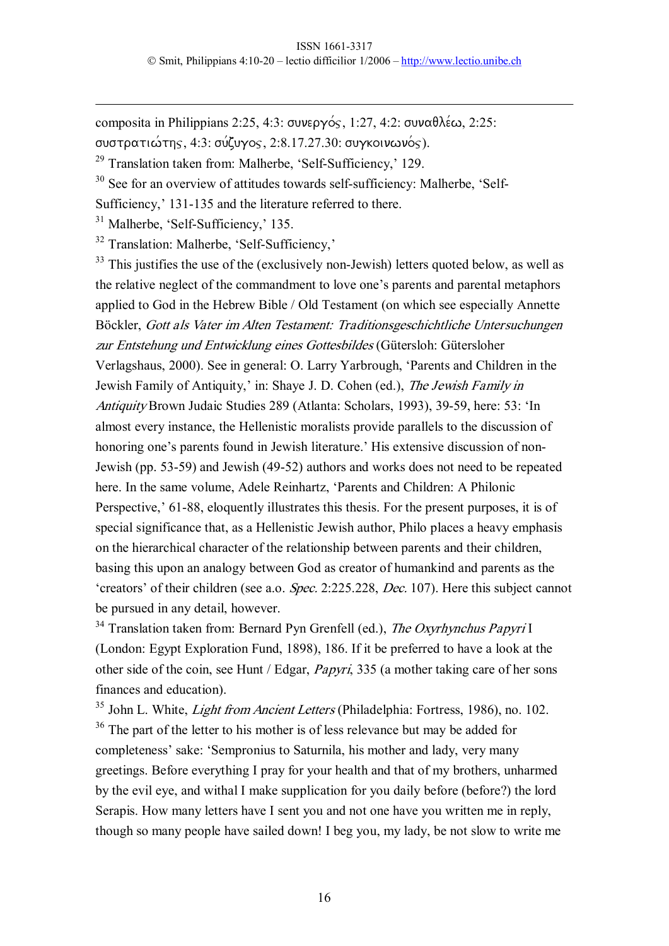composita in Philippians 2:25, 4:3:  $\sigma$ UVEDYOS, 1:27, 4:2:  $\sigma$ UV $\alpha \theta \lambda \epsilon \omega$ , 2:25:

συστρατιώτης, 4:3: σύζυγος, 2:8.17.27.30: συγκοινωνός).

 $29$  Translation taken from: Malherbe, 'Self-Sufficiency,' 129.

 $30$  See for an overview of attitudes towards self-sufficiency: Malherbe, 'Self-

Sufficiency,' 131-135 and the literature referred to there.

 $31$  Malherbe, 'Self-Sufficiency,' 135.

 $32$  Translation: Malherbe, 'Self-Sufficiency,'

 $33$  This justifies the use of the (exclusively non-Jewish) letters quoted below, as well as the relative neglect of the commandment to love one's parents and parental metaphors applied to God in the Hebrew Bible / Old Testament (on which see especially Annette Böckler, Gott als Vater im Alten Testament: Traditionsgeschichtliche Untersuchungen zur Entstehung und Entwicklung eines Gottesbildes (Gütersloh: Gütersloher Verlagshaus, 2000). See in general: O. Larry Yarbrough, 'Parents and Children in the Jewish Family of Antiquity,' in: Shaye J. D. Cohen (ed.), The Jewish Family in Antiquity Brown Judaic Studies 289 (Atlanta: Scholars, 1993), 39-59, here: 53: 'In almost every instance, the Hellenistic moralists provide parallels to the discussion of honoring one's parents found in Jewish literature.' His extensive discussion of non-Jewish (pp. 5359) and Jewish (4952) authors and works does not need to be repeated here. In the same volume, Adele Reinhartz, 'Parents and Children: A Philonic Perspective,' 61-88, eloquently illustrates this thesis. For the present purposes, it is of special significance that, as a Hellenistic Jewish author, Philo places a heavy emphasis on the hierarchical character of the relationship between parents and their children, basing this upon an analogy between God as creator of humankind and parents as the 'creators' of their children (see a.o. Spec. 2:225.228, Dec. 107). Here this subject cannot be pursued in any detail, however.

 $34$  Translation taken from: Bernard Pyn Grenfell (ed.), The Oxyrhynchus Papyri I (London: Egypt Exploration Fund, 1898), 186. If it be preferred to have a look at the other side of the coin, see Hunt / Edgar, *Papyri*, 335 (a mother taking care of her sons finances and education).

<sup>35</sup> John L. White, *Light from Ancient Letters* (Philadelphia: Fortress, 1986), no. 102.

<sup>36</sup> The part of the letter to his mother is of less relevance but may be added for completeness' sake: 'Sempronius to Saturnila, his mother and lady, very many greetings. Before everything I pray for your health and that of my brothers, unharmed by the evil eye, and withal I make supplication for you daily before (before?) the lord Serapis. How many letters have I sent you and not one have you written me in reply, though so many people have sailed down! I beg you, my lady, be not slow to write me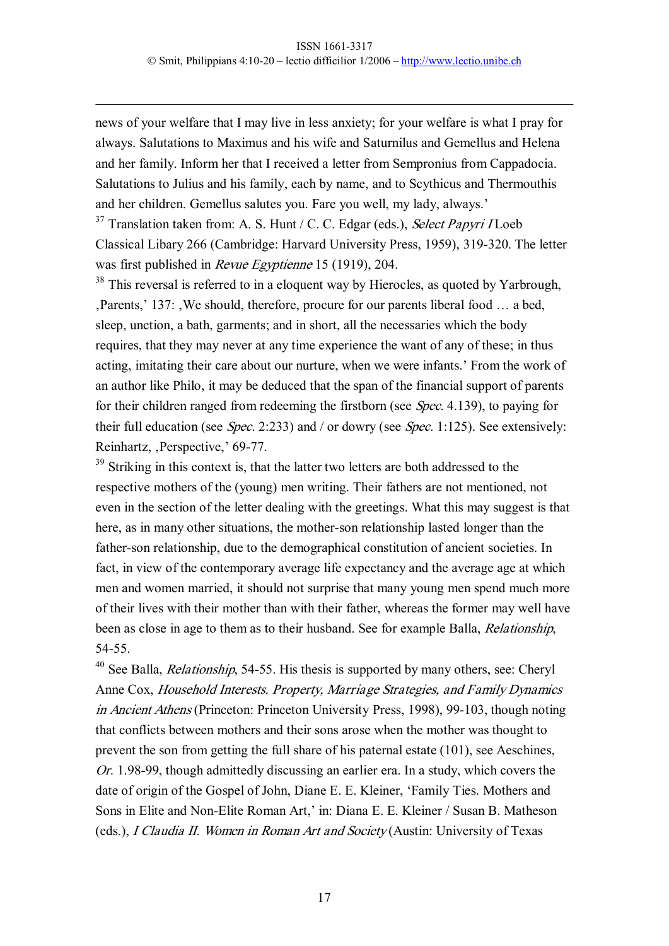news of your welfare that I may live in less anxiety; for your welfare is what I pray for always. Salutations to Maximus and his wife and Saturnilus and Gemellus and Helena and her family. Inform her that I received a letter from Sempronius from Cappadocia. Salutations to Julius and his family, each by name, and to Scythicus and Thermouthis and her children. Gemellus salutes you. Fare you well, my lady, always.'

 $37$  Translation taken from: A. S. Hunt / C. C. Edgar (eds.), Select Papyri I Loeb Classical Libary 266 (Cambridge: Harvard University Press, 1959), 319-320. The letter was first published in *Revue Egyptienne* 15 (1919), 204.

<sup>38</sup> This reversal is referred to in a eloquent way by Hierocles, as quoted by Yarbrough, Parents,' 137: We should, therefore, procure for our parents liberal food ... a bed, sleep, unction, a bath, garments; and in short, all the necessaries which the body requires, that they may never at any time experience the want of any of these; in thus acting, imitating their care about our nurture, when we were infants.' From the work of an author like Philo, it may be deduced that the span of the financial support of parents for their children ranged from redeeming the firstborn (see Spec. 4.139), to paying for their full education (see Spec. 2:233) and / or dowry (see Spec. 1:125). See extensively: Reinhartz, Perspective,' 69-77.

<sup>39</sup> Striking in this context is, that the latter two letters are both addressed to the respective mothers of the (young) men writing. Their fathers are not mentioned, not even in the section of the letter dealing with the greetings. What this may suggest is that here, as in many other situations, the mother-son relationship lasted longer than the father-son relationship, due to the demographical constitution of ancient societies. In fact, in view of the contemporary average life expectancy and the average age at which men and women married, it should not surprise that many young men spend much more of their lives with their mother than with their father, whereas the former may well have been as close in age to them as to their husband. See for example Balla, Relationship, 54-55.

 $40$  See Balla, *Relationship*, 54-55. His thesis is supported by many others, see: Cheryl Anne Cox, Household Interests. Property, Marriage Strategies, and Family Dynamics in Ancient Athens (Princeton: Princeton University Press, 1998), 99-103, though noting that conflicts between mothers and their sons arose when the mother was thought to prevent the son from getting the full share of his paternal estate (101), see Aeschines, Or. 1.98-99, though admittedly discussing an earlier era. In a study, which covers the date of origin of the Gospel of John, Diane E. E. Kleiner, 'Family Ties. Mothers and Sons in Elite and Non-Elite Roman Art,' in: Diana E. E. Kleiner / Susan B. Matheson (eds.), <sup>I</sup> Claudia II. Women in Roman Art and Society (Austin: University of Texas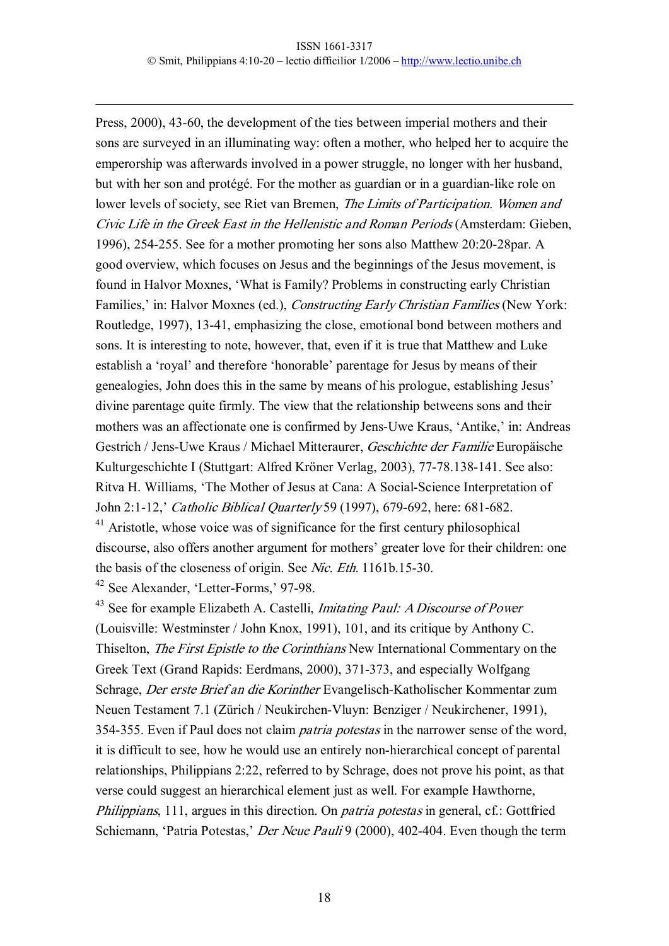Press, 2000), 43-60, the development of the ties between imperial mothers and their sons are surveyed in an illuminating way: often a mother, who helped her to acquire the emperorship was afterwards involved in a power struggle, no longer with her husband, but with her son and protégé. For the mother as guardian or in a guardian-like role on lower levels of society, see Riet van Bremen, *The Limits of Participation*. Women and Civic Life in the Greek East in the Hellenistic and Roman Periods (Amsterdam: Gieben, 1996), 254-255. See for a mother promoting her sons also Matthew 20:20-28par. A good overview, which focuses on Jesus and the beginnings of the Jesus movement, is found in Halvor Moxnes, 'What is Family? Problems in constructing early Christian Families,' in: Halvor Moxnes (ed.), *Constructing Early Christian Families* (New York: Routledge, 1997), 13-41, emphasizing the close, emotional bond between mothers and sons. It is interesting to note, however, that, even if it is true that Matthew and Luke establish a 'royal' and therefore 'honorable' parentage for Jesus by means of their genealogies, John does this in the same by means of his prologue, establishing Jesus' divine parentage quite firmly. The view that the relationship betweens sons and their mothers was an affectionate one is confirmed by Jens-Uwe Kraus, 'Antike,' in: Andreas Gestrich / Jens-Uwe Kraus / Michael Mitteraurer, Geschichte der Familie Europäische Kulturgeschichte I (Stuttgart: Alfred Kröner Verlag, 2003), 77-78.138-141. See also: Ritva H. Williams, 'The Mother of Jesus at Cana: A Social-Science Interpretation of John 2:1-12,' Catholic Biblical Quarterly 59 (1997), 679-692, here: 681-682. <sup>41</sup> Aristotle, whose voice was of significance for the first century philosophical discourse, also offers another argument for mothers' greater love for their children: one the basis of the closeness of origin. See Nic. Eth. 1161b.15-30. <sup>42</sup> See Alexander, 'Letter-Forms,' 97-98.

 $43$  See for example Elizabeth A. Castelli, *Imitating Paul: A Discourse of Power* (Louisville: Westminster / John Knox, 1991), 101, and its critique by Anthony C. Thiselton, The First Epistle to the Corinthians New International Commentary on the Greek Text (Grand Rapids: Eerdmans, 2000), 371-373, and especially Wolfgang Schrage, Der erste Brief an die Korinther Evangelisch-Katholischer Kommentar zum Neuen Testament 7.1 (Zürich / Neukirchen-Vluyn: Benziger / Neukirchener, 1991), 354-355. Even if Paul does not claim *patria potestas* in the narrower sense of the word, it is difficult to see, how he would use an entirely non-hierarchical concept of parental relationships, Philippians 2:22, referred to by Schrage, does not prove his point, as that verse could suggest an hierarchical element just as well. For example Hawthorne, *Philippians*, 111, argues in this direction. On *patria potestas* in general, cf.: Gottfried Schiemann, 'Patria Potestas,' Der Neue Pauli 9 (2000), 402-404. Even though the term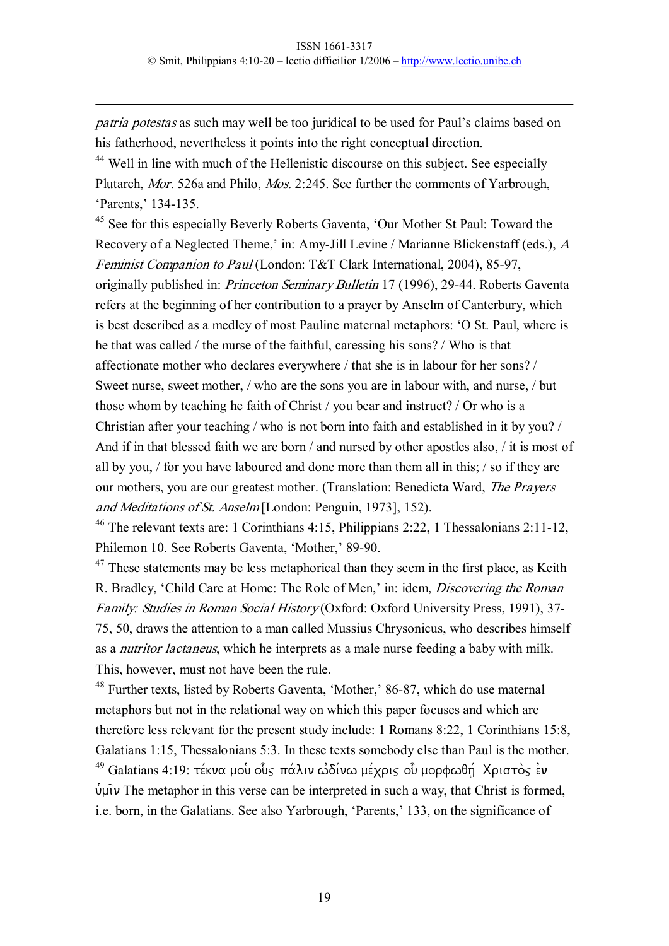patria potestas as such may well be too juridical to be used for Paul's claims based on his fatherhood, nevertheless it points into the right conceptual direction.

<sup>44</sup> Well in line with much of the Hellenistic discourse on this subject. See especially Plutarch, Mor. 526a and Philo, Mos. 2:245. See further the comments of Yarbrough, 'Parents,' 134-135.

<sup>45</sup> See for this especially Beverly Roberts Gaventa, 'Our Mother St Paul: Toward the Recovery of a Neglected Theme,' in: Amy-Jill Levine / Marianne Blickenstaff (eds.), A Feminist Companion to Paul (London: T&T Clark International, 2004), 85-97, originally published in: *Princeton Seminary Bulletin* 17 (1996), 29-44. Roberts Gaventa refers at the beginning of her contribution to a prayer by Anselm of Canterbury, which is best described as a medley of most Pauline maternal metaphors: 'O St. Paul, where is he that was called / the nurse of the faithful, caressing his sons? / Who is that affectionate mother who declares everywhere / that she is in labour for her sons? / Sweet nurse, sweet mother, / who are the sons you are in labour with, and nurse, / but those whom by teaching he faith of Christ / you bear and instruct? / Or who is a Christian after your teaching / who is not born into faith and established in it by you? / And if in that blessed faith we are born / and nursed by other apostles also, / it is most of all by you, / for you have laboured and done more than them all in this; / so if they are our mothers, you are our greatest mother. (Translation: Benedicta Ward, The Prayers and Meditations of St. Anselm [London: Penguin, 1973], 152).

<sup>46</sup> The relevant texts are: 1 Corinthians 4:15, Philippians 2:22, 1 Thessalonians 2:11-12, Philemon 10. See Roberts Gaventa, 'Mother,' 89-90.

 $47$  These statements may be less metaphorical than they seem in the first place, as Keith R. Bradley, 'Child Care at Home: The Role of Men,' in: idem, Discovering the Roman Family: Studies in Roman Social History (Oxford: Oxford University Press, 1991), 37-75, 50, draws the attention to a man called Mussius Chrysonicus, who describes himself as a nutritor lactaneus, which he interprets as a male nurse feeding a baby with milk. This, however, must not have been the rule.

<sup>48</sup> Further texts, listed by Roberts Gaventa, 'Mother,' 86-87, which do use maternal metaphors but not in the relational way on which this paper focuses and which are therefore less relevant for the present study include: 1 Romans 8:22, 1 Corinthians 15:8, Galatians 1:15, Thessalonians 5:3. In these texts somebody else than Paul is the mother.

 $49$  Galatians 4:19: τέκνα μου ούς πάλιν ωδίνω μέχρις ου μορφωθή Χριστος εν  $\psi$ µ $\psi$  The metaphor in this verse can be interpreted in such a way, that Christ is formed, i.e. born, in the Galatians. See also Yarbrough, 'Parents,' 133, on the significance of